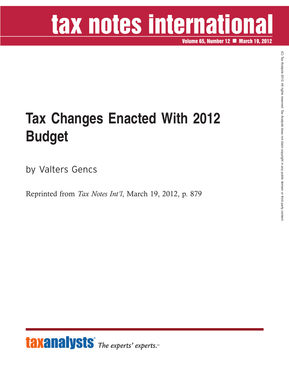## tax notes international

**Volume 65, Number 12 March 19, 2012**

## **Tax Changes Enacted With 2012 Budget**

by Valters Gencs

Reprinted from *Tax Notes Int'l*, March 19, 2012, p. 879